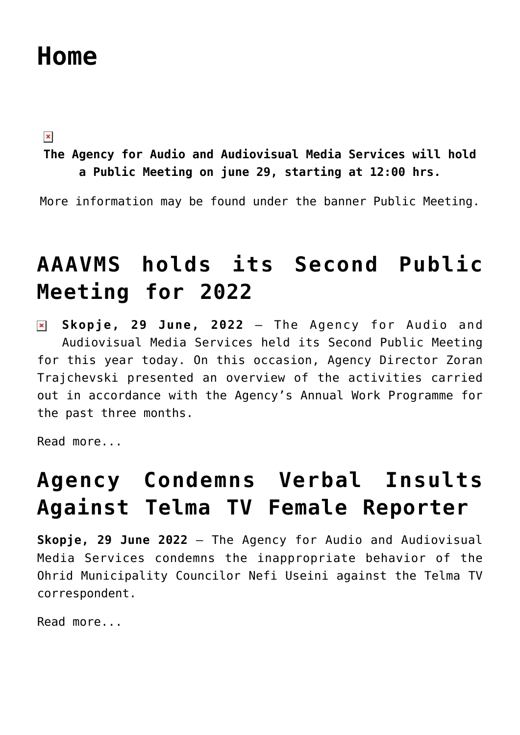# **[Home](https://avmu.mk/en/home-en/)**

 $\pmb{\times}$ 

**The Agency for Audio and Audiovisual Media Services will hold a Public Meeting on june 29, starting at 12:00 hrs.**

More information may be found under the banner Public Meeting.

# **[AAAVMS holds its Second Public](https://avmu.mk/en/2022/07/01/aaavms-holds-its-second-public-meeting-for-2022/) [Meeting for 2022](https://avmu.mk/en/2022/07/01/aaavms-holds-its-second-public-meeting-for-2022/)**

**Skopje, 29 June, 2022** – The Agency for Audio and  $\pmb{\times}$ Audiovisual Media Services held its Second Public Meeting for this year today. On this occasion, Agency Director Zoran Trajchevski presented an overview of the activities carried out in accordance with the Agency's Annual Work Programme for the past three months.

[Read more...](https://avmu.mk/en/2022/07/01/aaavms-holds-its-second-public-meeting-for-2022/)

# **[Agency Condemns Verbal Insults](https://avmu.mk/en/2022/07/01/agency-condemns-verbal-insults-against-telma-tv-female-reporter/) [Against Telma TV Female Reporter](https://avmu.mk/en/2022/07/01/agency-condemns-verbal-insults-against-telma-tv-female-reporter/)**

**Skopje, 29 June 2022** - The Agency for Audio and Audiovisual Media Services condemns the inappropriate behavior of the Ohrid Municipality Councilor Nefi Useini against the Telma TV correspondent.

[Read more...](https://avmu.mk/en/2022/07/01/agency-condemns-verbal-insults-against-telma-tv-female-reporter/)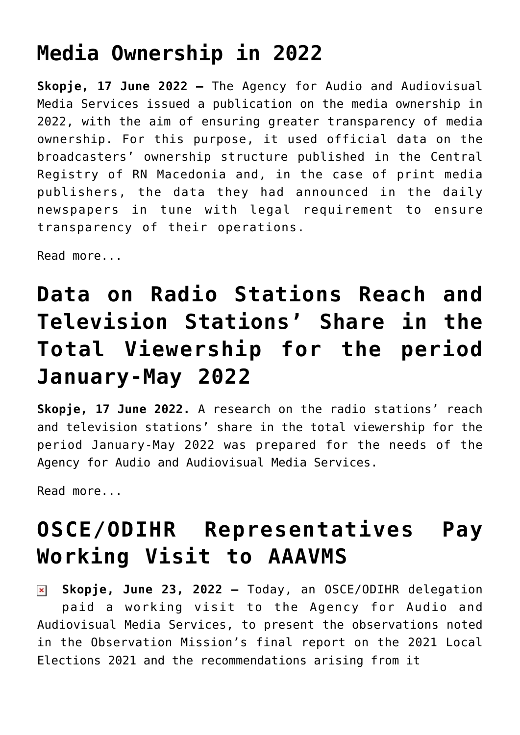# **[Media Ownership in 2022](https://avmu.mk/en/2022/07/01/media-ownership-in-2022/)**

**Skopje, 17 June 2022 –** The Agency for Audio and Audiovisual Media Services issued a [publication on the media ownership in](https://avmu.mk/wp-content/uploads/2022/06/1.-%D0%A1%D0%BE%D0%BF%D1%81%D1%82%D0%B2%D0%B5%D0%BD%D0%BE%D1%81%D1%82%D0%B0-%D0%BD%D0%B0-%D0%BC%D0%B5%D0%B4%D0%B8%D1%83%D0%BC%D0%B8%D1%82%D0%B5-%D0%B2%D0%BE-2022-%D0%B3%D0%BE%D0%B4%D0%B8%D0%BD%D0%B0.pdf) [2022](https://avmu.mk/wp-content/uploads/2022/06/1.-%D0%A1%D0%BE%D0%BF%D1%81%D1%82%D0%B2%D0%B5%D0%BD%D0%BE%D1%81%D1%82%D0%B0-%D0%BD%D0%B0-%D0%BC%D0%B5%D0%B4%D0%B8%D1%83%D0%BC%D0%B8%D1%82%D0%B5-%D0%B2%D0%BE-2022-%D0%B3%D0%BE%D0%B4%D0%B8%D0%BD%D0%B0.pdf), with the aim of ensuring greater transparency of media ownership. For this purpose, it used official data on the broadcasters' ownership structure published in the Central Registry of RN Macedonia and, in the case of print media publishers, the data they had announced in the daily newspapers in tune with legal requirement to ensure transparency of their operations.

[Read more...](https://avmu.mk/en/2022/07/01/media-ownership-in-2022/)

# **[Data on Radio Stations Reach and](https://avmu.mk/en/2022/07/01/data-on-radio-stations-reach-and-television-stations-share-in-the-total-viewership-for-the-period-january-may-2022/) [Television Stations' Share in the](https://avmu.mk/en/2022/07/01/data-on-radio-stations-reach-and-television-stations-share-in-the-total-viewership-for-the-period-january-may-2022/) [Total Viewership for the period](https://avmu.mk/en/2022/07/01/data-on-radio-stations-reach-and-television-stations-share-in-the-total-viewership-for-the-period-january-may-2022/) [January-May 2022](https://avmu.mk/en/2022/07/01/data-on-radio-stations-reach-and-television-stations-share-in-the-total-viewership-for-the-period-january-may-2022/)**

**Skopje, 17 June 2022.** [A research on the radio stations' reach](https://avmu.mk/wp-content/uploads/2022/06/%D0%9F%D0%BE%D0%B4%D0%B0%D1%82%D0%BE%D1%86%D0%B8-%D0%B7%D0%B0-%D0%B4%D0%BE%D1%81%D0%B5%D0%B3%D0%BE%D1%82-%D0%BD%D0%B0-%D1%80%D0%B0%D0%B4%D0%B8%D0%BE%D1%81%D1%82%D0%B0%D0%BD%D0%B8%D1%86%D0%B8%D1%82%D0%B5-%D0%B8-%D0%B7%D0%B0-%D1%83%D0%B4%D0%B5%D0%BB%D0%BE%D1%82-%D0%B2%D0%BE-%D0%B2%D0%BA%D1%83%D0%BF%D0%BD%D0%B0%D1%82%D0%B0-%D0%B3%D0%BB%D0%B5%D0%B4%D0%B0%D0%BD%D0%BE%D1%81%D1%82-%D0%BD%D0%B0-%D1%82%D0%B5%D0%BB%D0%B5%D0%B2%D0%B8%D0%B7%D0%B8%D1%81%D0%BA%D0%B8%D1%82%D0%B5-%D1%81%D1%82%D0%B0%D0%BD%D0%B8%D1%86%D0%B8-%D0%B7%D0%B0-%D0%BF%D0%B5%D1%80%D0%B8%D0%BE%D0%B4%D0%BE%D1%82-%D1%98%D0%B0%D0%BD%D1%83%D0%B0%D1%80%D0%B8-%D0%BC%D0%B0%D1%98-2022-%D0%B3%D0%BE%D0%B4%D0%B8%D0%BD%D0%B0.pdf) [and television stations' share in the total viewership for the](https://avmu.mk/wp-content/uploads/2022/06/%D0%9F%D0%BE%D0%B4%D0%B0%D1%82%D0%BE%D1%86%D0%B8-%D0%B7%D0%B0-%D0%B4%D0%BE%D1%81%D0%B5%D0%B3%D0%BE%D1%82-%D0%BD%D0%B0-%D1%80%D0%B0%D0%B4%D0%B8%D0%BE%D1%81%D1%82%D0%B0%D0%BD%D0%B8%D1%86%D0%B8%D1%82%D0%B5-%D0%B8-%D0%B7%D0%B0-%D1%83%D0%B4%D0%B5%D0%BB%D0%BE%D1%82-%D0%B2%D0%BE-%D0%B2%D0%BA%D1%83%D0%BF%D0%BD%D0%B0%D1%82%D0%B0-%D0%B3%D0%BB%D0%B5%D0%B4%D0%B0%D0%BD%D0%BE%D1%81%D1%82-%D0%BD%D0%B0-%D1%82%D0%B5%D0%BB%D0%B5%D0%B2%D0%B8%D0%B7%D0%B8%D1%81%D0%BA%D0%B8%D1%82%D0%B5-%D1%81%D1%82%D0%B0%D0%BD%D0%B8%D1%86%D0%B8-%D0%B7%D0%B0-%D0%BF%D0%B5%D1%80%D0%B8%D0%BE%D0%B4%D0%BE%D1%82-%D1%98%D0%B0%D0%BD%D1%83%D0%B0%D1%80%D0%B8-%D0%BC%D0%B0%D1%98-2022-%D0%B3%D0%BE%D0%B4%D0%B8%D0%BD%D0%B0.pdf) [period January-May 2022](https://avmu.mk/wp-content/uploads/2022/06/%D0%9F%D0%BE%D0%B4%D0%B0%D1%82%D0%BE%D1%86%D0%B8-%D0%B7%D0%B0-%D0%B4%D0%BE%D1%81%D0%B5%D0%B3%D0%BE%D1%82-%D0%BD%D0%B0-%D1%80%D0%B0%D0%B4%D0%B8%D0%BE%D1%81%D1%82%D0%B0%D0%BD%D0%B8%D1%86%D0%B8%D1%82%D0%B5-%D0%B8-%D0%B7%D0%B0-%D1%83%D0%B4%D0%B5%D0%BB%D0%BE%D1%82-%D0%B2%D0%BE-%D0%B2%D0%BA%D1%83%D0%BF%D0%BD%D0%B0%D1%82%D0%B0-%D0%B3%D0%BB%D0%B5%D0%B4%D0%B0%D0%BD%D0%BE%D1%81%D1%82-%D0%BD%D0%B0-%D1%82%D0%B5%D0%BB%D0%B5%D0%B2%D0%B8%D0%B7%D0%B8%D1%81%D0%BA%D0%B8%D1%82%D0%B5-%D1%81%D1%82%D0%B0%D0%BD%D0%B8%D1%86%D0%B8-%D0%B7%D0%B0-%D0%BF%D0%B5%D1%80%D0%B8%D0%BE%D0%B4%D0%BE%D1%82-%D1%98%D0%B0%D0%BD%D1%83%D0%B0%D1%80%D0%B8-%D0%BC%D0%B0%D1%98-2022-%D0%B3%D0%BE%D0%B4%D0%B8%D0%BD%D0%B0.pdf) was prepared for the needs of the Agency for Audio and Audiovisual Media Services.

[Read more...](https://avmu.mk/en/2022/07/01/data-on-radio-stations-reach-and-television-stations-share-in-the-total-viewership-for-the-period-january-may-2022/)

# **[OSCE/ODIHR Representatives Pay](https://avmu.mk/en/2022/06/23/osce-odihr-representatives-pay-working-visit-to-aaavms/) [Working Visit to AAAVMS](https://avmu.mk/en/2022/06/23/osce-odihr-representatives-pay-working-visit-to-aaavms/)**

**Skopje, June 23, 2022 –** Today, an OSCE/ODIHR delegation  $\pmb{\times}$ paid a working visit to the Agency for Audio and Audiovisual Media Services, to present the observations noted in the Observation Mission's final report on the 2021 Local Elections 2021 and the recommendations arising from it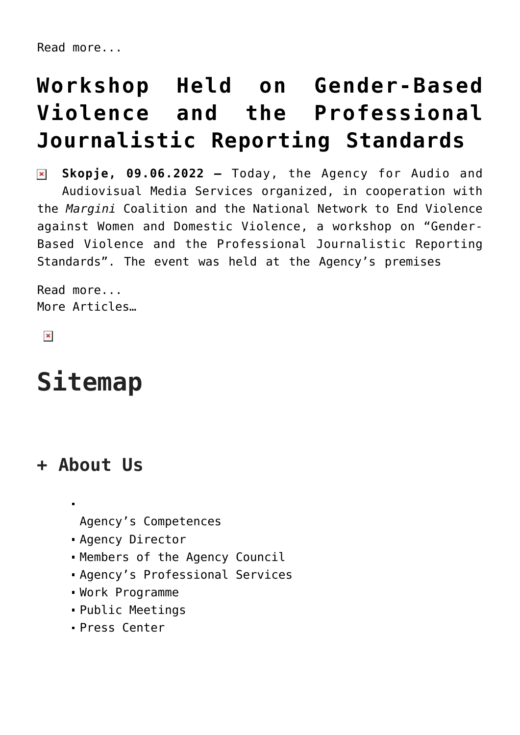# **[Workshop Held on Gender-Based](https://avmu.mk/en/2022/06/17/workshop-held-on-gender-based-violence-and-the-professional-journalistic-reporting-standards/) [Violence and the Professional](https://avmu.mk/en/2022/06/17/workshop-held-on-gender-based-violence-and-the-professional-journalistic-reporting-standards/) [Journalistic Reporting Standards](https://avmu.mk/en/2022/06/17/workshop-held-on-gender-based-violence-and-the-professional-journalistic-reporting-standards/)**

**Skopje, 09.06.2022 –** Today, the Agency for Audio and  $\pmb{\times}$ Audiovisual Media Services organized, in cooperation with the *Margini* Coalition and the National Network to End Violence against Women and Domestic Violence, a workshop on "Gender-Based Violence and the Professional Journalistic Reporting Standards". The event was held at the Agency's premises

[Read more...](https://avmu.mk/en/2022/06/17/workshop-held-on-gender-based-violence-and-the-professional-journalistic-reporting-standards/) [More Articles…](http://avmu.mk/en/blog-en/)

 $\pmb{\times}$ 

# **Sitemap**

#### **+ About Us**

[Agency's Competences](http://avmu.mk/en/agencys-competences/)

- [Agency Director](http://avmu.mk/en/agency-director/)
- [Members of the Agency Council](http://avmu.mk/en/members-of-the-agency-council/)
- [Agency's Professional Services](http://avmu.mk/en/agencys-professional-services/)
- [Work Programme](http://avmu.mk/en/work-programme/)
- [Public Meetings](http://avmu.mk/en/public-meetings/)
- [Press Center](http://avmu.mk/en/press-center/)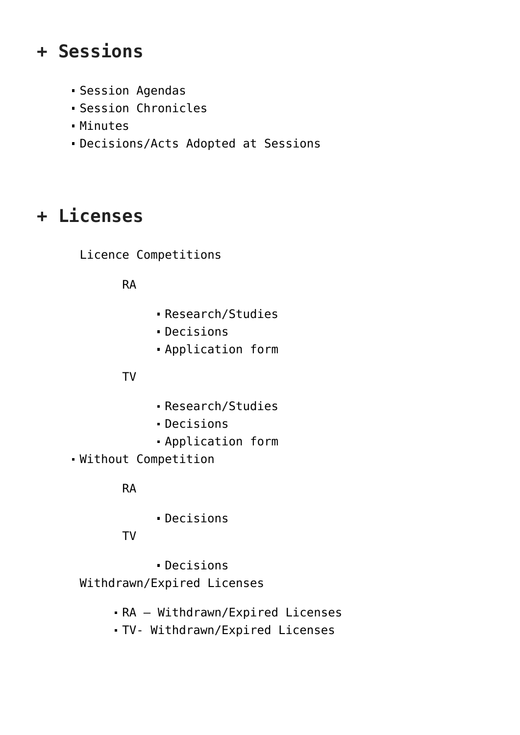#### **+ Sessions**

- [Session Agendas](http://avmu.mk/en/session-agendas/)
- [Session Chronicles](http://avmu.mk/en/session-chronicles/)
- [Minutes](http://avmu.mk/en/minutes/)
- [Decisions/Acts Adopted at Sessions](http://avmu.mk/en/decisionsacts-adopted-at-sessions/)

## **+ Licenses**

Licence Competitions

RA

- [Research/Studies](http://avmu.mk/en/researchstudies-za-dozvoli/)
- Decisions
- Application form

#### ТV

- [Research/Studies](http://avmu.mk/en/istr-stud-za-dozvoli-tv/)
- [Decisions](http://avmu.mk/en/competition-for-licenses-decisions/)
- [Application form](http://avmu.mk/en/competition-for-licenses-application-form/)
- Without Competition

#### RA

[Decisions](http://avmu.mk/en/decisions-ra/)

TV

[Decisions](http://avmu.mk/en/without-competition-application-form/) Withdrawn/Expired Licenses

- [RA Withdrawn/Expired Licenses](http://avmu.mk/en/revoked-licenses-ra/)
- [TV- Withdrawn/Expired Licenses](http://avmu.mk/en/revoked-licenses/)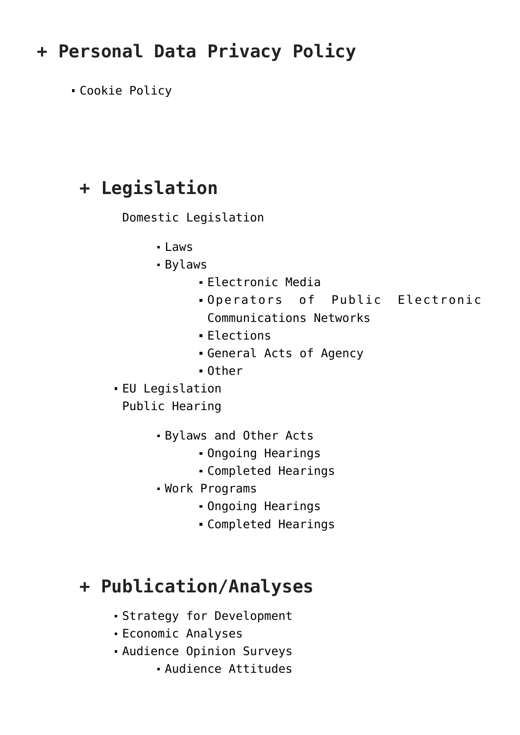### **+ Personal Data Privacy Policy**

[Cookie Policy](https://avmu.mk/en/personal-data-privacy-policy/)

#### **+ Legislation**

Domestic Legislation

- $\blacksquare$  [Laws](http://avmu.mk/en/legislation/domestic-legislation/laws/)
- Bylaws
	- [Electronic Media](http://avmu.mk/en/legislation/domestic-legislation/by-laws/electronic-media/)
	- [Operators of Public Electronic](http://avmu.mk/en/legislation/domestic-legislation/by-laws/operators-of-public-electronic-communications-networks/) [Communications Networks](http://avmu.mk/en/legislation/domestic-legislation/by-laws/operators-of-public-electronic-communications-networks/)
	- [Elections](http://avmu.mk/en/legislation/domestic-legislation/by-laws/elections/)
	- [General Acts of Agency](http://avmu.mk/en/legislation/domestic-legislation/by-laws/general-acts-of-agency/)
	- [Other](http://avmu.mk/en/legislation/domestic-legislation/by-laws/other/)
- [EU Legislation](http://avmu.mk/legislativa/evropska-legislativa/)

Public Hearing

- Bylaws and Other Acts
	- [Ongoing Hearings](http://avmu.mk/en/ongoing-hearings/)
	- [Completed Hearings](http://avmu.mk/en/completed-hearings/)
- Work Programs
	- [Ongoing Hearings](http://avmu.mk/en/ongoing-hearings2/)
	- [Completed Hearings](http://avmu.mk/en/completed-hearings-2/)

#### **+ Publication/Analyses**

- [Strategy for Development](http://avmu.mk/en/strategy-for-development-of-the-broadcasting-activity-in-the-republic-of-macedonia/)
- [Economic Analyses](http://avmu.mk/en/economic-analyses/)
- Audience Opinion Surveys
	- [Audience Attitudes](http://avmu.mk/en/audience-attitudes/)